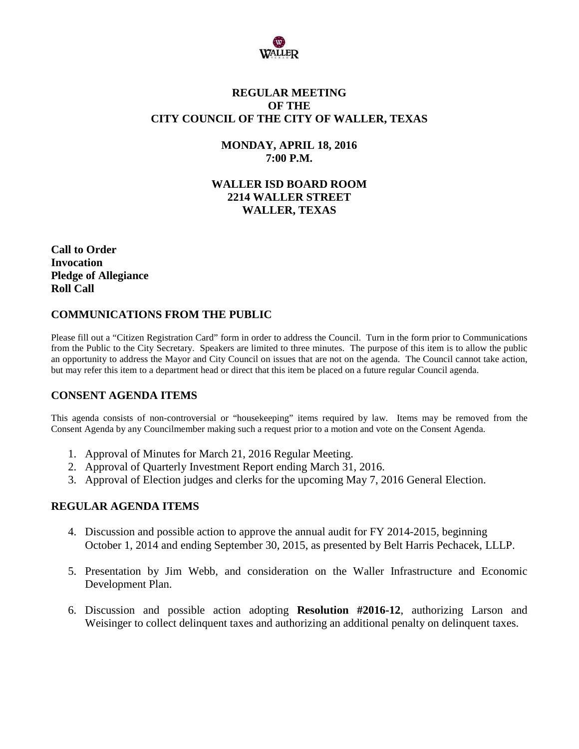

## **REGULAR MEETING OF THE CITY COUNCIL OF THE CITY OF WALLER, TEXAS**

## **MONDAY, APRIL 18, 2016 7:00 P.M.**

# **WALLER ISD BOARD ROOM 2214 WALLER STREET WALLER, TEXAS**

**Call to Order Invocation Pledge of Allegiance Roll Call**

# **COMMUNICATIONS FROM THE PUBLIC**

Please fill out a "Citizen Registration Card" form in order to address the Council. Turn in the form prior to Communications from the Public to the City Secretary. Speakers are limited to three minutes. The purpose of this item is to allow the public an opportunity to address the Mayor and City Council on issues that are not on the agenda. The Council cannot take action, but may refer this item to a department head or direct that this item be placed on a future regular Council agenda.

### **CONSENT AGENDA ITEMS**

This agenda consists of non-controversial or "housekeeping" items required by law. Items may be removed from the Consent Agenda by any Councilmember making such a request prior to a motion and vote on the Consent Agenda.

- 1. Approval of Minutes for March 21, 2016 Regular Meeting.
- 2. Approval of Quarterly Investment Report ending March 31, 2016.
- 3. Approval of Election judges and clerks for the upcoming May 7, 2016 General Election.

### **REGULAR AGENDA ITEMS**

- 4. Discussion and possible action to approve the annual audit for FY 2014-2015, beginning October 1, 2014 and ending September 30, 2015, as presented by Belt Harris Pechacek, LLLP.
- 5. Presentation by Jim Webb, and consideration on the Waller Infrastructure and Economic Development Plan.
- 6. Discussion and possible action adopting **Resolution #2016-12**, authorizing Larson and Weisinger to collect delinquent taxes and authorizing an additional penalty on delinquent taxes.